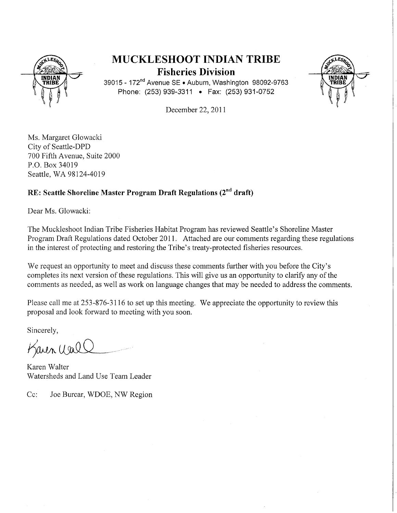

# MUCKLESHOOT INDIAN TRIBE Fisheries Division



39015 - 172<sup>nd</sup> Avenue SE . Auburn, Washington 98092-9763 Phone: (253) 939-3311 . Fax: (253) 931-0752

December 22,2011

Ms. Margaret Glowacki City of Seattle-DPD 700 Fifth Avenue, Suite 2000 P.O. Box 34019 Seattle, WA 98124-4019

# RE: Seattle Shoreline Master Program Draft Regulations (2<sup>nd</sup> draft)

Dear Ms. Glowacki:

The Muckleshoot Indian Tribe Fisheries Habitat Program has reviewed Seattle's Shoreline Master Program Draft Regulations dated October 2011. Attached are our comments regarding these regulations in the interest of protecting and restoring the Tribe's treaty-protected fisheries resources.

We request an opportunity to meet and discuss these comments further with you before the City's completes its next version of these regulations. This will give us an opportunity to clarify any of the comments as needed, as well as work on language changes that may be needed to address the comments.

Please call me at 253-876-3116 to set up this meeting. We appreciate the opportunity to review this proposal and look forward to meeting with you soon.

Sincerely,

Karen Wall

Karen Walter Watersheds and Land Use Team Leader

Cc: Joe Burcar, WDOE, NW Region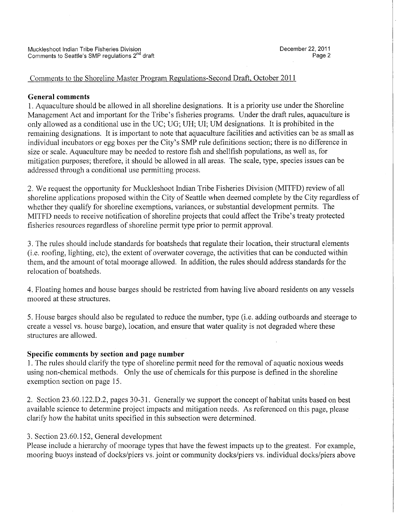### Comments to the Shoreline Master Program Regulations-Second Draft, October 2011

#### General comments

1. Aquaculture should be allowed in all shoreline designations. It is a priority use under the Shoreline Management Act and important for the Tribe's fisheries programs. Under the draft rules, aquaculture is only allowed as a conditional use in the UC; UG; UH; UI; UM designations. It is prohibited in the remaining designations. It is important to note that aquaculture facilities and activities can be as small as individual incubators or egg boxes per the City's SMP rule definitions section; there is no difference in size or scale. Aquaculture may be needed to restore fish and shellfish populations, as well as, for mitigation purposes; therefore, it should be allowed in all areas. The scale, type, species issues can be addressed through a conditional use permitting process.

2. We request the opportunity for Muckleshoot Indian Tribe Fisheries Division (MITFD) review of all shoreline applications proposed within the City of Seattle when deemed complete by the City regardless of whether they qualify for shoreline exemptions, variances, or substantial development permits. The MITFD needs to receive notification of shoreline projects that could affect the Tribe's treaty protected fisheries resources regardless of shoreline permit type prior to permit approvaL.

3. The rules should include standards for boatsheds that regulate their location, their structural elements (i.e. roofing, lighting, etc), the extent of overwater coverage, the activities that can be conducted within them, and the amount of total moorage allowed. In addition, the rules should address standards for the relocation of boatsheds.

4. Floating homes and house barges should be restricted from having live aboard residents on any vessels moored at these structures.

5. House barges should also be regulated to reduce the number, type (i.e. adding outboards and steerage to create a vessel vs. house barge), location, and ensure that water quality is not degraded where these structures are allowed.

#### Specific comments by section and page number

1. The rules should clarify the type of shoreline permit need for the removal of aquatic noxious weeds using non-chemical methods. Only the use of chemicals for this purpose is defined in the shoreline exemption section on page 15.

2. Section 23.60.122.D.2, pages 30-31. Generally we support the concept of habitat units based on best available science to determine project impacts and mitigation needs. As referenced on this page, please clarify how the habitat units specified in this subsection were determined.

## 3. Section 23.60.152, General development

Please include a hierarchy of moorage types that have the fewest impacts up to the greatest. For example, mooring buoys instead of docks/piers vs. joint or community docks/piers vs. individual docks/piers above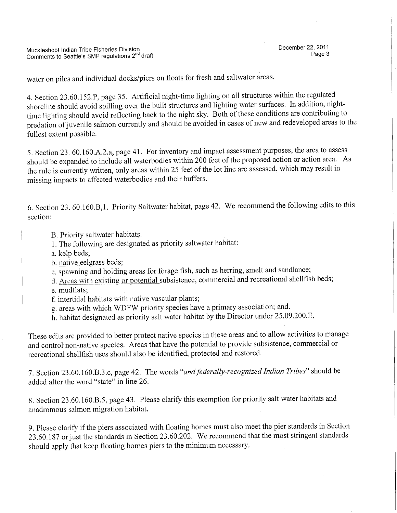water on piles and individual docks/piers on floats for fresh and saltwater areas.

4. Section 23.60.152.P, page 35. Artificial night-time lighting on all structures within the regulated shoreline should avoid spiling over the built structures and lighting water surfaces. In addition, nighttime lighting should avoid reflecting back to the night sky. Both of these conditions are contributing to predation of juvenile salmon currently and should be avoided in cases of new and redeveloped areas to the fullest extent possible.

5. Section 23. 60.160.A.2.a, page 41. For inventory and impact assessment purposes, the area to assess should be expanded to include all waterbodies within 200 feet of the proposed action or action area. As the rule is currently written, only areas within 25 feet of the lot line are assessed, which may result in missing impacts to affected waterbodies and their buffers.

6. Section 23. 60.160.B,1. Priority Saltwater habitat, page 42. We recommend the following edits to this section:

- B. Priority saltwater habitat§.
- 1. The following are designated as priority saltwater habitat:
- a. kelp beds;
- b. native eelgrass beds;
- c. spawning and holding areas for forage fish, such as herring, smelt and sandlance;
- d. Areas with existing or potential subsistence, commercial and recreational shellfish beds;
- e. mudflats;
- f. intertidal habitats with native vascular plants;
- g. areas with which WDFW priority species have a primary association; and.
- h. habitat designated as priority salt water habitat by the Director under 25.09.200.E.

These edits are provided to better protect native species in these areas and to allow activities to manage and control non-native species. Areas that have the potential to provide subsistence, commercial or recreational shellfish uses should also be identified, protected and restored.

7. Section 23.60.160.B.3.c, page 42. The words "and federally-recognized Indian Tribes" should be added after the word "state" in line 26.

8. Section 23.60. 160.B.5, page 43. Please clarify this exemption for priority salt water habitats and anadromous salmon migration habitat.

9. Please clarify if the piers associated with floating homes must also meet the pier standards in Section 23.60.187 or just the standards in Section 23.60.202. We recommend that the most stringent standards should apply that keep floating homes piers to the minimum necessary.